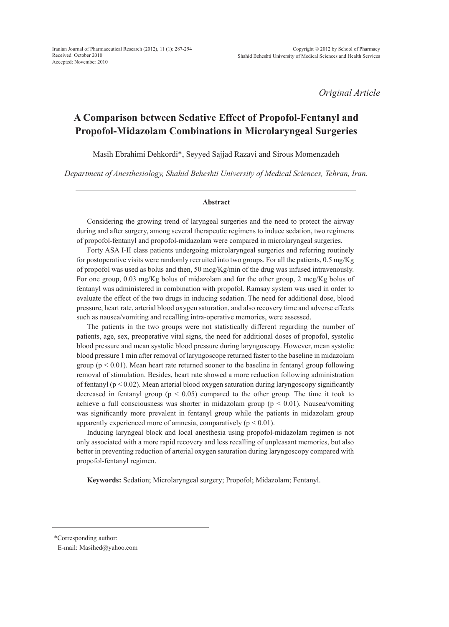Iranian Journal of Pharmaceutical Research (2012), 11 (1): 287-294 Received: October 2010 Accepted: November 2010

*Original Article*

# **A Comparison between Sedative Effect of Propofol-Fentanyl and Propofol-Midazolam Combinations in Microlaryngeal Surgeries**

Masih Ebrahimi Dehkordi\*, Seyyed Sajjad Razavi and Sirous Momenzadeh

*Department of Anesthesiology, Shahid Beheshti University of Medical Sciences, Tehran, Iran.*

#### **Abstract**

Considering the growing trend of laryngeal surgeries and the need to protect the airway during and after surgery, among several therapeutic regimens to induce sedation, two regimens of propofol-fentanyl and propofol-midazolam were compared in microlaryngeal surgeries.

Forty ASA I-II class patients undergoing microlaryngeal surgeries and referring routinely for postoperative visits were randomly recruited into two groups. For all the patients, 0.5 mg/Kg of propofol was used as bolus and then, 50 mcg/Kg/min of the drug was infused intravenously. For one group, 0.03 mg/Kg bolus of midazolam and for the other group, 2 mcg/Kg bolus of fentanyl was administered in combination with propofol. Ramsay system was used in order to evaluate the effect of the two drugs in inducing sedation. The need for additional dose, blood pressure, heart rate, arterial blood oxygen saturation, and also recovery time and adverse effects such as nausea/vomiting and recalling intra-operative memories, were assessed.

The patients in the two groups were not statistically different regarding the number of patients, age, sex, preoperative vital signs, the need for additional doses of propofol, systolic blood pressure and mean systolic blood pressure during laryngoscopy. However, mean systolic blood pressure 1 min after removal of laryngoscope returned faster to the baseline in midazolam group ( $p < 0.01$ ). Mean heart rate returned sooner to the baseline in fentanyl group following removal of stimulation. Besides, heart rate showed a more reduction following administration of fentanyl ( $p < 0.02$ ). Mean arterial blood oxygen saturation during laryngoscopy significantly decreased in fentanyl group ( $p < 0.05$ ) compared to the other group. The time it took to achieve a full consciousness was shorter in midazolam group ( $p < 0.01$ ). Nausea/vomiting was significantly more prevalent in fentanyl group while the patients in midazolam group apparently experienced more of amnesia, comparatively  $(p < 0.01)$ .

Inducing laryngeal block and local anesthesia using propofol-midazolam regimen is not only associated with a more rapid recovery and less recalling of unpleasant memories, but also better in preventing reduction of arterial oxygen saturation during laryngoscopy compared with propofol-fentanyl regimen.

**Keywords:** Sedation; Microlaryngeal surgery; Propofol; Midazolam; Fentanyl.

\*Corresponding author:

E-mail: Masihed@yahoo.com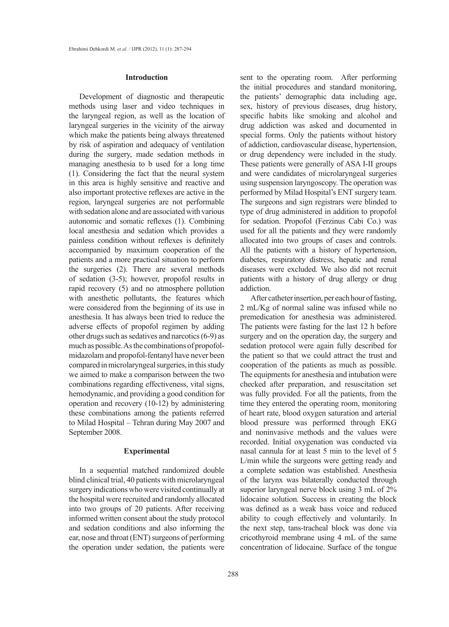#### **Introduction**

Development of diagnostic and therapeutic methods using laser and video techniques in the laryngeal region, as well as the location of laryngeal surgeries in the vicinity of the airway which make the patients being always threatened by risk of aspiration and adequacy of ventilation during the surgery, made sedation methods in managing anesthesia to b used for a long time (1). Considering the fact that the neural system in this area is highly sensitive and reactive and also important protective reflexes are active in the region, laryngeal surgeries are not performable with sedation alone and are associated with various autonomic and somatic reflexes (1). Combining local anesthesia and sedation which provides a painless condition without reflexes is definitely accompanied by maximum cooperation of the patients and a more practical situation to perform the surgeries (2). There are several methods of sedation (3-5); however, propofol results in rapid recovery (5) and no atmosphere pollution with anesthetic pollutants, the features which were considered from the beginning of its use in anesthesia. It has always been tried to reduce the adverse effects of propofol regimen by adding other drugs such as sedatives and narcotics (6-9) as much as possible. As the combinations of propofolmidazolam and propofol-fentanyl have never been compared in microlaryngeal surgeries, in this study we aimed to make a comparison between the two combinations regarding effectiveness, vital signs, hemodynamic, and providing a good condition for operation and recovery (10-12) by administering these combinations among the patients referred to Milad Hospital – Tehran during May 2007 and September 2008.

### **Experimental**

In a sequential matched randomized double blind clinical trial, 40 patients with microlaryngeal surgery indications who were visited continually at the hospital were recruited and randomly allocated into two groups of 20 patients. After receiving informed written consent about the study protocol and sedation conditions and also informing the ear, nose and throat (ENT) surgeons of performing the operation under sedation, the patients were sent to the operating room. After performing the initial procedures and standard monitoring, the patients' demographic data including age, sex, history of previous diseases, drug history, specific habits like smoking and alcohol and drug addiction was asked and documented in special forms. Only the patients without history of addiction, cardiovascular disease, hypertension, or drug dependency were included in the study. These patients were generally of ASA I-II groups and were candidates of microlaryngeal surgeries using suspension laryngoscopy. The operation was performed by Milad Hospital's ENT surgery team. The surgeons and sign registrars were blinded to type of drug administered in addition to propofol for sedation. Propofol (Ferzinus Cabi Co.) was used for all the patients and they were randomly allocated into two groups of cases and controls. All the patients with a history of hypertension, diabetes, respiratory distress, hepatic and renal diseases were excluded. We also did not recruit patients with a history of drug allergy or drug addiction.

After catheter insertion, per each hour of fasting, 2 mL/Kg of normal saline was infused while no premedication for anesthesia was administered. The patients were fasting for the last 12 h before surgery and on the operation day, the surgery and sedation protocol were again fully described for the patient so that we could attract the trust and cooperation of the patients as much as possible. The equipments for anesthesia and intubation were checked after preparation, and resuscitation set was fully provided. For all the patients, from the time they entered the operating room, monitoring of heart rate, blood oxygen saturation and arterial blood pressure was performed through EKG and noninvasive methods and the values were recorded. Initial oxygenation was conducted via nasal cannula for at least 5 min to the level of 5 L/min while the surgeons were getting ready and a complete sedation was established. Anesthesia of the larynx was bilaterally conducted through superior laryngeal nerve block using 3 mL of 2% lidocaine solution. Success in creating the block was defined as a weak bass voice and reduced ability to cough effectively and voluntarily. In the next step, tans-tracheal block was done via cricothyroid membrane using 4 mL of the same concentration of lidocaine. Surface of the tongue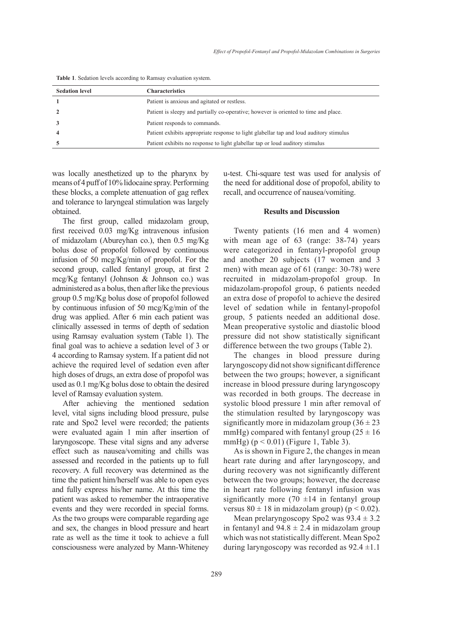| <b>Sedation level</b> | <b>Characteristics</b>                                                                  |
|-----------------------|-----------------------------------------------------------------------------------------|
|                       | Patient is anxious and agitated or restless.                                            |
|                       | Patient is sleepy and partially co-operative; however is oriented to time and place.    |
|                       | Patient responds to commands.                                                           |
|                       | Patient exhibits appropriate response to light glabellar tap and loud auditory stimulus |
|                       | Patient exhibits no response to light glabellar tap or loud auditory stimulus           |

**Table 1**. Sedation levels according to Ramsay evaluation system.

was locally anesthetized up to the pharynx by means of 4 puff of 10% lidocaine spray. Performing these blocks, a complete attenuation of gag reflex and tolerance to laryngeal stimulation was largely obtained.

The first group, called midazolam group, first received 0.03 mg/Kg intravenous infusion of midazolam (Abureyhan co.), then 0.5 mg/Kg bolus dose of propofol followed by continuous infusion of 50 mcg/Kg/min of propofol. For the second group, called fentanyl group, at first 2 mcg/Kg fentanyl (Johnson & Johnson co.) was administered as a bolus, then after like the previous group 0.5 mg/Kg bolus dose of propofol followed by continuous infusion of 50 mcg/Kg/min of the drug was applied. After 6 min each patient was clinically assessed in terms of depth of sedation using Ramsay evaluation system (Table 1). The final goal was to achieve a sedation level of 3 or 4 according to Ramsay system. If a patient did not achieve the required level of sedation even after high doses of drugs, an extra dose of propofol was used as 0.1 mg/Kg bolus dose to obtain the desired level of Ramsay evaluation system.

After achieving the mentioned sedation level, vital signs including blood pressure, pulse rate and Spo2 level were recorded; the patients were evaluated again 1 min after insertion of laryngoscope. These vital signs and any adverse effect such as nausea/vomiting and chills was assessed and recorded in the patients up to full recovery. A full recovery was determined as the time the patient him/herself was able to open eyes and fully express his/her name. At this time the patient was asked to remember the intraoperative events and they were recorded in special forms. As the two groups were comparable regarding age and sex, the changes in blood pressure and heart rate as well as the time it took to achieve a full consciousness were analyzed by Mann-Whiteney u-test. Chi-square test was used for analysis of the need for additional dose of propofol, ability to recall, and occurrence of nausea/vomiting.

# **Results and Discussion**

Twenty patients (16 men and 4 women) with mean age of 63 (range: 38-74) years were categorized in fentanyl-propofol group and another 20 subjects (17 women and 3 men) with mean age of 61 (range: 30-78) were recruited in midazolam-propofol group. In midazolam-propofol group, 6 patients needed an extra dose of propofol to achieve the desired level of sedation while in fentanyl-propofol group, 5 patients needed an additional dose. Mean preoperative systolic and diastolic blood pressure did not show statistically significant difference between the two groups (Table 2).

The changes in blood pressure during laryngoscopy did not show significant difference between the two groups; however, a significant increase in blood pressure during laryngoscopy was recorded in both groups. The decrease in systolic blood pressure 1 min after removal of the stimulation resulted by laryngoscopy was significantly more in midazolam group  $(36 \pm 23)$ mmHg) compared with fentanyl group  $(25 \pm 16)$ mmHg)  $(p < 0.01)$  (Figure 1, Table 3).

As is shown in Figure 2, the changes in mean heart rate during and after laryngoscopy, and during recovery was not significantly different between the two groups; however, the decrease in heart rate following fentanyl infusion was significantly more  $(70 \pm 14)$  in fentanyl group versus  $80 \pm 18$  in midazolam group) ( $p < 0.02$ ).

Mean prelaryngoscopy Spo2 was  $93.4 \pm 3.2$ in fentanyl and  $94.8 \pm 2.4$  in midazolam group which was not statistically different. Mean Spo2 during laryngoscopy was recorded as  $92.4 \pm 1.1$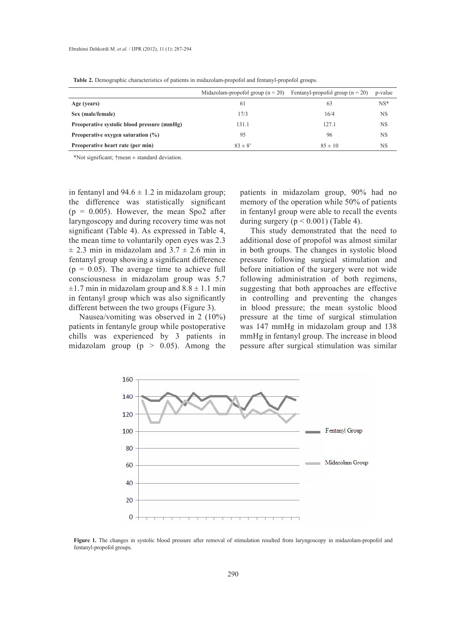|                                             | Midazolam-propofol group $(n = 20)$ | Fentanyl-propofol group $(n = 20)$ | p-value   |
|---------------------------------------------|-------------------------------------|------------------------------------|-----------|
| Age (years)                                 | 61                                  | 63                                 | $NS*$     |
| Sex (male/female)                           | 17/3                                | 16/4                               | <b>NS</b> |
| Preoperative systolic blood pressure (mmHg) | 131.1                               | 127.1                              | <b>NS</b> |
| Preoperative oxygen saturation $(\%)$       | 95                                  | 96                                 | <b>NS</b> |
| Preoperative heart rate (per min)           | $83 \pm 8^{\dagger}$                | $85 \pm 10$                        | <b>NS</b> |

**Table 2.** Demographic characteristics of patients in midazolam-propofol and fentanyl-propofol groups.

\*Not significant;  $\ddagger$ mean  $\pm$  standard deviation.

in fentanyl and  $94.6 \pm 1.2$  in midazolam group; the difference was statistically significant  $(p = 0.005)$ . However, the mean Spo2 after laryngoscopy and during recovery time was not significant (Table 4). As expressed in Table 4, the mean time to voluntarily open eyes was 2.3  $\pm$  2.3 min in midazolam and 3.7  $\pm$  2.6 min in fentanyl group showing a significant difference  $(p = 0.05)$ . The average time to achieve full consciousness in midazolam group was 5.7  $\pm$ 1.7 min in midazolam group and 8.8  $\pm$  1.1 min in fentanyl group which was also significantly different between the two groups (Figure 3).

Nausea/vomiting was observed in 2 (10%) patients in fentanyle group while postoperative chills was experienced by 3 patients in midazolam group ( $p > 0.05$ ). Among the

patients in midazolam group, 90% had no memory of the operation while 50% of patients in fentanyl group were able to recall the events during surgery  $(p < 0.001)$  (Table 4).

This study demonstrated that the need to additional dose of propofol was almost similar in both groups. The changes in systolic blood pressure following surgical stimulation and before initiation of the surgery were not wide following administration of both regimens, suggesting that both approaches are effective in controlling and preventing the changes in blood pressure; the mean systolic blood pressure at the time of surgical stimulation was 147 mmHg in midazolam group and 138 mmHg in fentanyl group. The increase in blood pessure after surgical stimulation was similar



**Figure 1.** The changes in systolic blood pressure after removal of stimulation resulted from laryngoscopy in midazolam-propofol and fentanyl-propofol groups.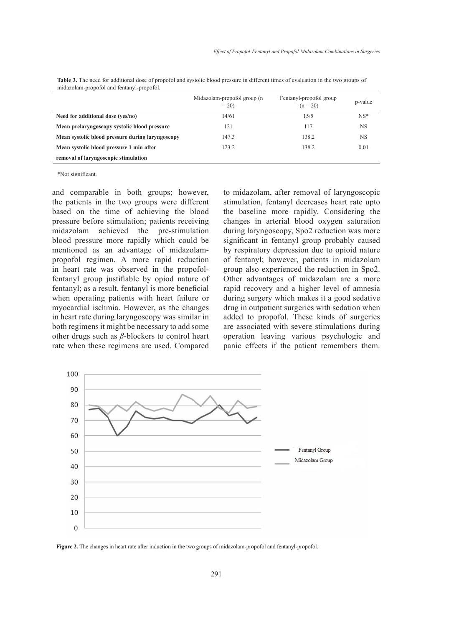|                                                  | Midazolam-propofol group (n<br>$= 20$ | Fentanyl-propofol group<br>$(n = 20)$ | p-value   |
|--------------------------------------------------|---------------------------------------|---------------------------------------|-----------|
| Need for additional dose (yes/no)                | 14/61                                 | 15/5                                  | $NS*$     |
| Mean prelaryngoscopy systolic blood pressure     | 121                                   | 117                                   | <b>NS</b> |
| Mean systolic blood pressure during laryngoscopy | 147.3                                 | 138.2                                 | <b>NS</b> |
| Mean systolic blood pressure 1 min after         | 123.2                                 | 138.2                                 | 0.01      |
| removal of laryngoscopic stimulation             |                                       |                                       |           |

Table 3. The need for additional dose of propofol and systolic blood pressure in different times of evaluation in the two groups of midazolam-propofol and fentanyl-propofol.

\*Not significant.

and comparable in both groups; however, the patients in the two groups were different based on the time of achieving the blood pressure before stimulation; patients receiving midazolam achieved the pre-stimulation blood pressure more rapidly which could be mentioned as an advantage of midazolampropofol regimen. A more rapid reduction in heart rate was observed in the propofolfentanyl group justifiable by opiod nature of fentanyl; as a result, fentanyl is more beneficial when operating patients with heart failure or myocardial ischmia. However, as the changes in heart rate during laryngoscopy was similar in both regimens it might be necessary to add some other drugs such as *β*-blockers to control heart rate when these regimens are used. Compared to midazolam, after removal of laryngoscopic stimulation, fentanyl decreases heart rate upto the baseline more rapidly. Considering the changes in arterial blood oxygen saturation during laryngoscopy, Spo2 reduction was more significant in fentanyl group probably caused by respiratory depression due to opioid nature of fentanyl; however, patients in midazolam group also experienced the reduction in Spo2. Other advantages of midazolam are a more rapid recovery and a higher level of amnesia during surgery which makes it a good sedative drug in outpatient surgeries with sedation when added to propofol. These kinds of surgeries are associated with severe stimulations during operation leaving various psychologic and panic effects if the patient remembers them.



**Figure 2.** The changes in heart rate after induction in the two groups of midazolam-propofol and fentanyl-propofol.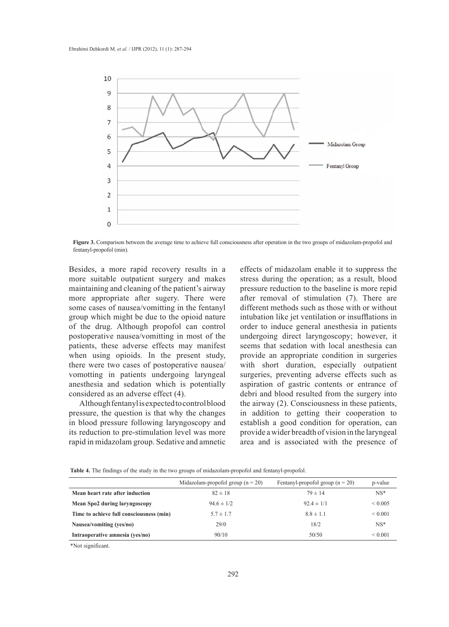

**Figure 3.** Comparison between the average time to achieve full consciousness after operation in the two groups of midazolam-propofol and fentanyl-propofol (min).

Besides, a more rapid recovery results in a more suitable outpatient surgery and makes maintaining and cleaning of the patient's airway more appropriate after sugery. There were some cases of nausea/vomitting in the fentanyl group which might be due to the opioid nature of the drug. Although propofol can control postoperative nausea/vomitting in most of the patients, these adverse effects may manifest when using opioids. In the present study, there were two cases of postoperative nausea/ vomotting in patients undergoing laryngeal anesthesia and sedation which is potentially considered as an adverse effect (4).

Although fentanyl is expected to control blood pressure, the question is that why the changes in blood pressure following laryngoscopy and its reduction to pre-stimulation level was more rapid in midazolam group. Sedative and amnetic effects of midazolam enable it to suppress the stress during the operation; as a result, blood pressure reduction to the baseline is more repid after removal of stimulation (7). There are different methods such as those with or without intubation like jet ventilation or insufflations in order to induce general anesthesia in patients undergoing direct laryngoscopy; however, it seems that sedation with local anesthesia can provide an appropriate condition in surgeries with short duration, especially outpatient surgeries, preventing adverse effects such as aspiration of gastric contents or entrance of debri and blood resulted from the surgery into the airway (2). Consciousness in these patients, in addition to getting their cooperation to establish a good condition for operation, can provide a wider breadth of vision in the laryngeal area and is associated with the presence of

|  |  |  | <b>Table 4.</b> The findings of the study in the two groups of midazolam-propofol and fentanyl-propofol. |  |
|--|--|--|----------------------------------------------------------------------------------------------------------|--|
|--|--|--|----------------------------------------------------------------------------------------------------------|--|

|                                          | Midazolam-propofol group ( $n = 20$ ) | Fentanyl-propofol group $(n = 20)$ | p-value     |
|------------------------------------------|---------------------------------------|------------------------------------|-------------|
| Mean heart rate after induction          | $82 \pm 18$                           | $79 \pm 14$                        | $NS*$       |
| Mean Spo2 during laryngoscopy            | $94.6 \pm 1/2$                        | $92.4 \pm 1/1$                     | ${}< 0.005$ |
| Time to achieve full consciousness (min) | $5.7 \pm 1.7$                         | $8.8 \pm 1.1$                      | ${}< 0.001$ |
| Nausea/vomiting (yes/no)                 | 29/0                                  | 18/2                               | $NS^*$      |
| Intraoperative amnesia (yes/no)          | 90/10                                 | 50/50                              | ${}< 0.001$ |

\*Not significant.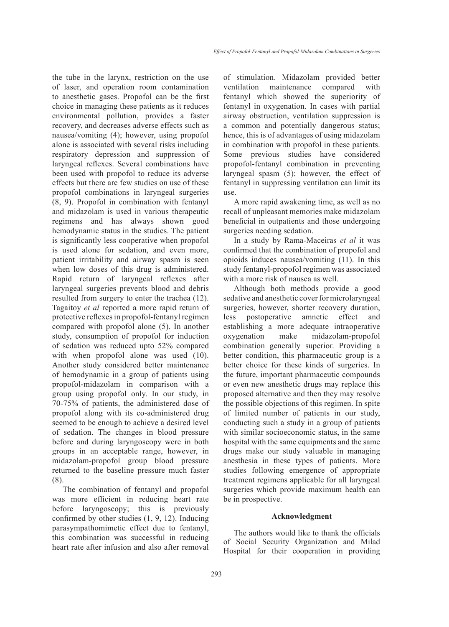the tube in the larynx, restriction on the use of laser, and operation room contamination to anesthetic gases. Propofol can be the first choice in managing these patients as it reduces environmental pollution, provides a faster recovery, and decreases adverse effects such as nausea/vomiting (4); however, using propofol alone is associated with several risks including respiratory depression and suppression of laryngeal reflexes. Several combinations have been used with propofol to reduce its adverse effects but there are few studies on use of these propofol combinations in laryngeal surgeries (8, 9). Propofol in combination with fentanyl and midazolam is used in various therapeutic regimens and has always shown good hemodynamic status in the studies. The patient is significantly less cooperative when propofol is used alone for sedation, and even more, patient irritability and airway spasm is seen when low doses of this drug is administered. Rapid return of laryngeal reflexes after laryngeal surgeries prevents blood and debris resulted from surgery to enter the trachea (12). Tagaitoy *et al* reported a more rapid return of protective reflexes in propofol-fentanyl regimen compared with propofol alone (5). In another study, consumption of propofol for induction of sedation was reduced upto 52% compared with when propofol alone was used  $(10)$ . Another study considered better maintenance of hemodynamic in a group of patients using propofol-midazolam in comparison with a group using propofol only. In our study, in 70-75% of patients, the administered dose of propofol along with its co-administered drug seemed to be enough to achieve a desired level of sedation. The changes in blood pressure before and during laryngoscopy were in both groups in an acceptable range, however, in midazolam-propofol group blood pressure returned to the baseline pressure much faster (8).

The combination of fentanyl and propofol was more efficient in reducing heart rate before laryngoscopy; this is previously confirmed by other studies (1, 9, 12). Inducing parasympathomimetic effect due to fentanyl, this combination was successful in reducing heart rate after infusion and also after removal of stimulation. Midazolam provided better ventilation maintenance compared with fentanyl which showed the superiority of fentanyl in oxygenation. In cases with partial airway obstruction, ventilation suppression is a common and potentially dangerous status; hence, this is of advantages of using midazolam in combination with propofol in these patients. Some previous studies have considered propofol-fentanyl combination in preventing laryngeal spasm (5); however, the effect of fentanyl in suppressing ventilation can limit its use.

A more rapid awakening time, as well as no recall of unpleasant memories make midazolam beneficial in outpatients and those undergoing surgeries needing sedation.

In a study by Rama-Maceiras *et al* it was confirmed that the combination of propofol and opioids induces nausea/vomiting (11). In this study fentanyl-propofol regimen was associated with a more risk of nausea as well.

Although both methods provide a good sedative and anesthetic cover for microlaryngeal surgeries, however, shorter recovery duration, less postoperative amnetic effect and establishing a more adequate intraoperative oxygenation make midazolam-propofol combination generally superior. Providing a better condition, this pharmaceutic group is a better choice for these kinds of surgeries. In the future, important pharmaceutic compounds or even new anesthetic drugs may replace this proposed alternative and then they may resolve the possible objections of this regimen. In spite of limited number of patients in our study, conducting such a study in a group of patients with similar socioeconomic status, in the same hospital with the same equipments and the same drugs make our study valuable in managing anesthesia in these types of patients. More studies following emergence of appropriate treatment regimens applicable for all laryngeal surgeries which provide maximum health can be in prospective.

## **Acknowledgment**

The authors would like to thank the officials of Social Security Organization and Milad Hospital for their cooperation in providing